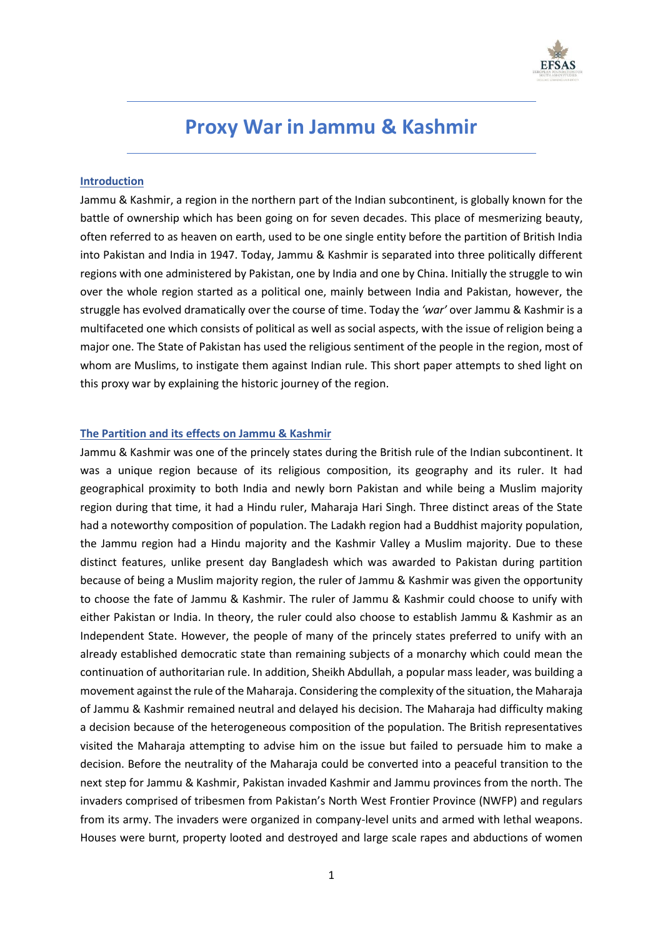

# **Proxy War in Jammu & Kashmir**

## **Introduction**

Jammu & Kashmir, a region in the northern part of the Indian subcontinent, is globally known for the battle of ownership which has been going on for seven decades. This place of mesmerizing beauty, often referred to as heaven on earth, used to be one single entity before the partition of British India into Pakistan and India in 1947. Today, Jammu & Kashmir is separated into three politically different regions with one administered by Pakistan, one by India and one by China. Initially the struggle to win over the whole region started as a political one, mainly between India and Pakistan, however, the struggle has evolved dramatically over the course of time. Today the *'war'* over Jammu & Kashmir is a multifaceted one which consists of political as well as social aspects, with the issue of religion being a major one. The State of Pakistan has used the religious sentiment of the people in the region, most of whom are Muslims, to instigate them against Indian rule. This short paper attempts to shed light on this proxy war by explaining the historic journey of the region.

## **The Partition and its effects on Jammu & Kashmir**

Jammu & Kashmir was one of the princely states during the British rule of the Indian subcontinent. It was a unique region because of its religious composition, its geography and its ruler. It had geographical proximity to both India and newly born Pakistan and while being a Muslim majority region during that time, it had a Hindu ruler, Maharaja Hari Singh. Three distinct areas of the State had a noteworthy composition of population. The Ladakh region had a Buddhist majority population, the Jammu region had a Hindu majority and the Kashmir Valley a Muslim majority. Due to these distinct features, unlike present day Bangladesh which was awarded to Pakistan during partition because of being a Muslim majority region, the ruler of Jammu & Kashmir was given the opportunity to choose the fate of Jammu & Kashmir. The ruler of Jammu & Kashmir could choose to unify with either Pakistan or India. In theory, the ruler could also choose to establish Jammu & Kashmir as an Independent State. However, the people of many of the princely states preferred to unify with an already established democratic state than remaining subjects of a monarchy which could mean the continuation of authoritarian rule. In addition, Sheikh Abdullah, a popular mass leader, was building a movement against the rule of the Maharaja. Considering the complexity of the situation, the Maharaja of Jammu & Kashmir remained neutral and delayed his decision. The Maharaja had difficulty making a decision because of the heterogeneous composition of the population. The British representatives visited the Maharaja attempting to advise him on the issue but failed to persuade him to make a decision. Before the neutrality of the Maharaja could be converted into a peaceful transition to the next step for Jammu & Kashmir, Pakistan invaded Kashmir and Jammu provinces from the north. The invaders comprised of tribesmen from Pakistan's North West Frontier Province (NWFP) and regulars from its army. The invaders were organized in company-level units and armed with lethal weapons. Houses were burnt, property looted and destroyed and large scale rapes and abductions of women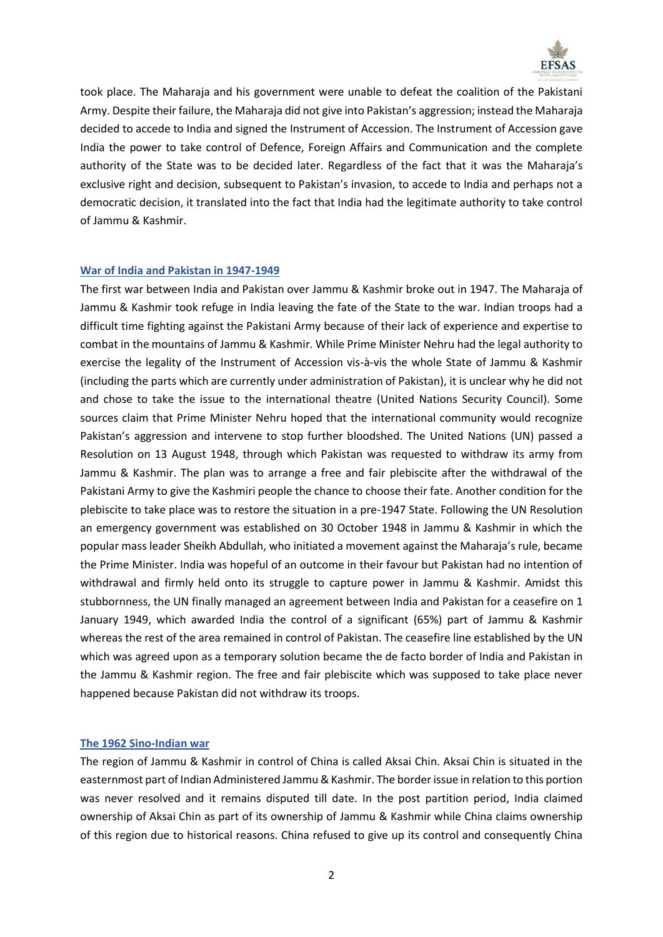

took place. The Maharaja and his government were unable to defeat the coalition of the Pakistani Army. Despite their failure, the Maharaja did not give into Pakistan's aggression; instead the Maharaja decided to accede to India and signed the Instrument of Accession. The Instrument of Accession gave India the power to take control of Defence, Foreign Affairs and Communication and the complete authority of the State was to be decided later. Regardless of the fact that it was the Maharaja's exclusive right and decision, subsequent to Pakistan's invasion, to accede to India and perhaps not a democratic decision, it translated into the fact that India had the legitimate authority to take control of Jammu & Kashmir.

## **War of India and Pakistan in 1947-1949**

The first war between India and Pakistan over Jammu & Kashmir broke out in 1947. The Maharaja of Jammu & Kashmir took refuge in India leaving the fate of the State to the war. Indian troops had a difficult time fighting against the Pakistani Army because of their lack of experience and expertise to combat in the mountains of Jammu & Kashmir. While Prime Minister Nehru had the legal authority to exercise the legality of the Instrument of Accession vis-à-vis the whole State of Jammu & Kashmir (including the parts which are currently under administration of Pakistan), it is unclear why he did not and chose to take the issue to the international theatre (United Nations Security Council). Some sources claim that Prime Minister Nehru hoped that the international community would recognize Pakistan's aggression and intervene to stop further bloodshed. The United Nations (UN) passed a Resolution on 13 August 1948, through which Pakistan was requested to withdraw its army from Jammu & Kashmir. The plan was to arrange a free and fair plebiscite after the withdrawal of the Pakistani Army to give the Kashmiri people the chance to choose their fate. Another condition for the plebiscite to take place was to restore the situation in a pre-1947 State. Following the UN Resolution an emergency government was established on 30 October 1948 in Jammu & Kashmir in which the popular mass leader Sheikh Abdullah, who initiated a movement against the Maharaja's rule, became the Prime Minister. India was hopeful of an outcome in their favour but Pakistan had no intention of withdrawal and firmly held onto its struggle to capture power in Jammu & Kashmir. Amidst this stubbornness, the UN finally managed an agreement between India and Pakistan for a ceasefire on 1 January 1949, which awarded India the control of a significant (65%) part of Jammu & Kashmir whereas the rest of the area remained in control of Pakistan. The ceasefire line established by the UN which was agreed upon as a temporary solution became the de facto border of India and Pakistan in the Jammu & Kashmir region. The free and fair plebiscite which was supposed to take place never happened because Pakistan did not withdraw its troops.

## **The 1962 Sino-Indian war**

The region of Jammu & Kashmir in control of China is called Aksai Chin. Aksai Chin is situated in the easternmost part of Indian Administered Jammu & Kashmir. The border issue in relation to this portion was never resolved and it remains disputed till date. In the post partition period, India claimed ownership of Aksai Chin as part of its ownership of Jammu & Kashmir while China claims ownership of this region due to historical reasons. China refused to give up its control and consequently China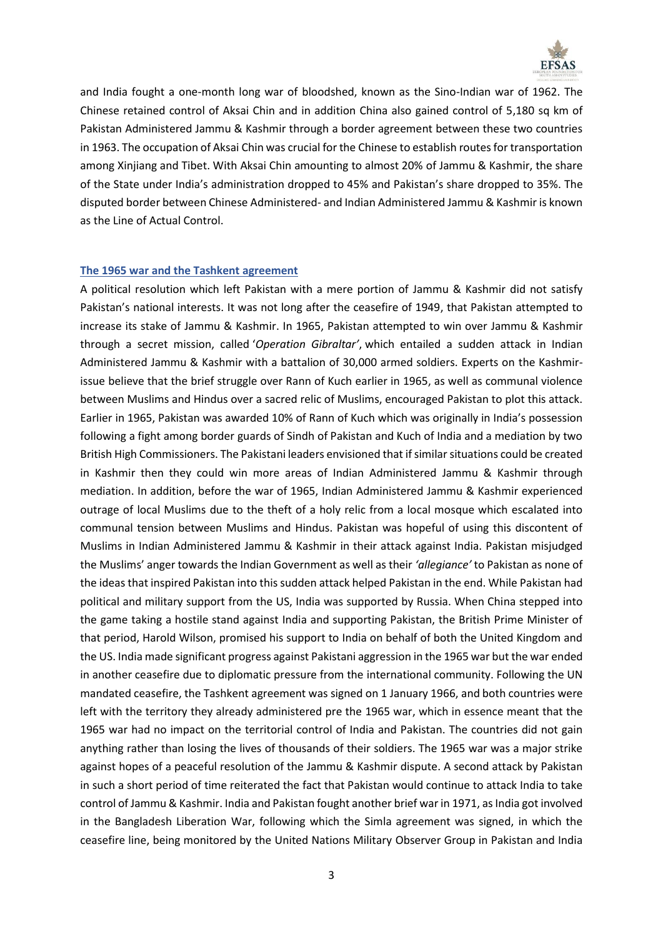

and India fought a one-month long war of bloodshed, known as the Sino-Indian war of 1962. The Chinese retained control of Aksai Chin and in addition China also gained control of 5,180 sq km of Pakistan Administered Jammu & Kashmir through a border agreement between these two countries in 1963. The occupation of Aksai Chin was crucial for the Chinese to establish routes for transportation among Xinjiang and Tibet. With Aksai Chin amounting to almost 20% of Jammu & Kashmir, the share of the State under India's administration dropped to 45% and Pakistan's share dropped to 35%. The disputed border between Chinese Administered- and Indian Administered Jammu & Kashmir is known as the Line of Actual Control.

## **The 1965 war and the Tashkent agreement**

A political resolution which left Pakistan with a mere portion of Jammu & Kashmir did not satisfy Pakistan's national interests. It was not long after the ceasefire of 1949, that Pakistan attempted to increase its stake of Jammu & Kashmir. In 1965, Pakistan attempted to win over Jammu & Kashmir through a secret mission, called '*Operation Gibraltar'*, which entailed a sudden attack in Indian Administered Jammu & Kashmir with a battalion of 30,000 armed soldiers. Experts on the Kashmirissue believe that the brief struggle over Rann of Kuch earlier in 1965, as well as communal violence between Muslims and Hindus over a sacred relic of Muslims, encouraged Pakistan to plot this attack. Earlier in 1965, Pakistan was awarded 10% of Rann of Kuch which was originally in India's possession following a fight among border guards of Sindh of Pakistan and Kuch of India and a mediation by two British High Commissioners. The Pakistani leaders envisioned that if similar situations could be created in Kashmir then they could win more areas of Indian Administered Jammu & Kashmir through mediation. In addition, before the war of 1965, Indian Administered Jammu & Kashmir experienced outrage of local Muslims due to the theft of a holy relic from a local mosque which escalated into communal tension between Muslims and Hindus. Pakistan was hopeful of using this discontent of Muslims in Indian Administered Jammu & Kashmir in their attack against India. Pakistan misjudged the Muslims' anger towards the Indian Government as well as their *'allegiance'* to Pakistan as none of the ideas that inspired Pakistan into this sudden attack helped Pakistan in the end. While Pakistan had political and military support from the US, India was supported by Russia. When China stepped into the game taking a hostile stand against India and supporting Pakistan, the British Prime Minister of that period, Harold Wilson, promised his support to India on behalf of both the United Kingdom and the US. India made significant progress against Pakistani aggression in the 1965 war but the war ended in another ceasefire due to diplomatic pressure from the international community. Following the UN mandated ceasefire, the Tashkent agreement was signed on 1 January 1966, and both countries were left with the territory they already administered pre the 1965 war, which in essence meant that the 1965 war had no impact on the territorial control of India and Pakistan. The countries did not gain anything rather than losing the lives of thousands of their soldiers. The 1965 war was a major strike against hopes of a peaceful resolution of the Jammu & Kashmir dispute. A second attack by Pakistan in such a short period of time reiterated the fact that Pakistan would continue to attack India to take control of Jammu & Kashmir. India and Pakistan fought another brief war in 1971, as India got involved in the Bangladesh Liberation War, following which the Simla agreement was signed, in which the ceasefire line, being monitored by the United Nations Military Observer Group in Pakistan and India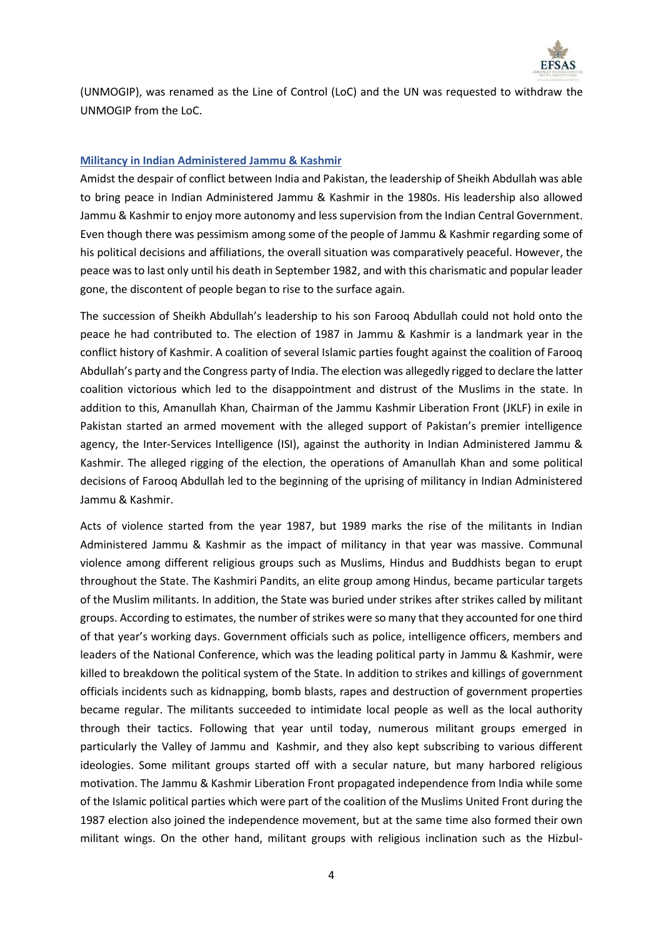

(UNMOGIP), was renamed as the Line of Control (LoC) and the UN was requested to withdraw the UNMOGIP from the LoC.

# **Militancy in Indian Administered Jammu & Kashmir**

Amidst the despair of conflict between India and Pakistan, the leadership of Sheikh Abdullah was able to bring peace in Indian Administered Jammu & Kashmir in the 1980s. His leadership also allowed Jammu & Kashmir to enjoy more autonomy and less supervision from the Indian Central Government. Even though there was pessimism among some of the people of Jammu & Kashmir regarding some of his political decisions and affiliations, the overall situation was comparatively peaceful. However, the peace was to last only until his death in September 1982, and with this charismatic and popular leader gone, the discontent of people began to rise to the surface again.

The succession of Sheikh Abdullah's leadership to his son Farooq Abdullah could not hold onto the peace he had contributed to. The election of 1987 in Jammu & Kashmir is a landmark year in the conflict history of Kashmir. A coalition of several Islamic parties fought against the coalition of Farooq Abdullah's party and the Congress party of India. The election was allegedly rigged to declare the latter coalition victorious which led to the disappointment and distrust of the Muslims in the state. In addition to this, Amanullah Khan, Chairman of the Jammu Kashmir Liberation Front (JKLF) in exile in Pakistan started an armed movement with the alleged support of Pakistan's premier intelligence agency, the Inter-Services Intelligence (ISI), against the authority in Indian Administered Jammu & Kashmir. The alleged rigging of the election, the operations of Amanullah Khan and some political decisions of Farooq Abdullah led to the beginning of the uprising of militancy in Indian Administered Jammu & Kashmir.

Acts of violence started from the year 1987, but 1989 marks the rise of the militants in Indian Administered Jammu & Kashmir as the impact of militancy in that year was massive. Communal violence among different religious groups such as Muslims, Hindus and Buddhists began to erupt throughout the State. The Kashmiri Pandits, an elite group among Hindus, became particular targets of the Muslim militants. In addition, the State was buried under strikes after strikes called by militant groups. According to estimates, the number of strikes were so many that they accounted for one third of that year's working days. Government officials such as police, intelligence officers, members and leaders of the National Conference, which was the leading political party in Jammu & Kashmir, were killed to breakdown the political system of the State. In addition to strikes and killings of government officials incidents such as kidnapping, bomb blasts, rapes and destruction of government properties became regular. The militants succeeded to intimidate local people as well as the local authority through their tactics. Following that year until today, numerous militant groups emerged in particularly the Valley of Jammu and Kashmir, and they also kept subscribing to various different ideologies. Some militant groups started off with a secular nature, but many harbored religious motivation. The Jammu & Kashmir Liberation Front propagated independence from India while some of the Islamic political parties which were part of the coalition of the Muslims United Front during the 1987 election also joined the independence movement, but at the same time also formed their own militant wings. On the other hand, militant groups with religious inclination such as the Hizbul-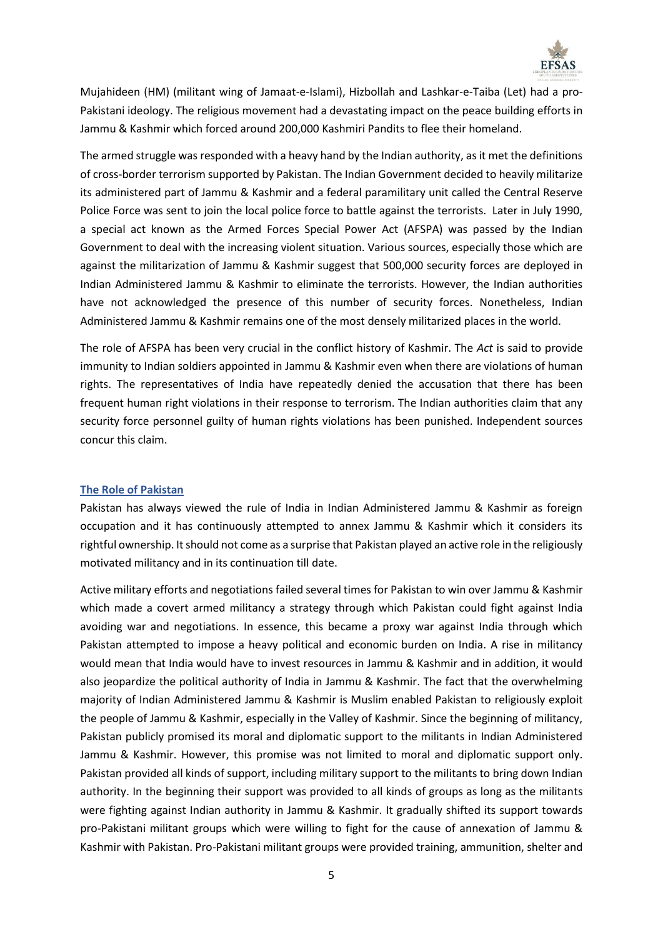

Mujahideen (HM) (militant wing of Jamaat-e-Islami), Hizbollah and Lashkar-e-Taiba (Let) had a pro-Pakistani ideology. The religious movement had a devastating impact on the peace building efforts in Jammu & Kashmir which forced around 200,000 Kashmiri Pandits to flee their homeland.

The armed struggle was responded with a heavy hand by the Indian authority, as it met the definitions of cross-border terrorism supported by Pakistan. The Indian Government decided to heavily militarize its administered part of Jammu & Kashmir and a federal paramilitary unit called the Central Reserve Police Force was sent to join the local police force to battle against the terrorists. Later in July 1990, a special act known as the Armed Forces Special Power Act (AFSPA) was passed by the Indian Government to deal with the increasing violent situation. Various sources, especially those which are against the militarization of Jammu & Kashmir suggest that 500,000 security forces are deployed in Indian Administered Jammu & Kashmir to eliminate the terrorists. However, the Indian authorities have not acknowledged the presence of this number of security forces. Nonetheless, Indian Administered Jammu & Kashmir remains one of the most densely militarized places in the world.

The role of AFSPA has been very crucial in the conflict history of Kashmir. The *Act* is said to provide immunity to Indian soldiers appointed in Jammu & Kashmir even when there are violations of human rights. The representatives of India have repeatedly denied the accusation that there has been frequent human right violations in their response to terrorism. The Indian authorities claim that any security force personnel guilty of human rights violations has been punished. Independent sources concur this claim.

## **The Role of Pakistan**

Pakistan has always viewed the rule of India in Indian Administered Jammu & Kashmir as foreign occupation and it has continuously attempted to annex Jammu & Kashmir which it considers its rightful ownership. It should not come as a surprise that Pakistan played an active role in the religiously motivated militancy and in its continuation till date.

Active military efforts and negotiations failed several times for Pakistan to win over Jammu & Kashmir which made a covert armed militancy a strategy through which Pakistan could fight against India avoiding war and negotiations. In essence, this became a proxy war against India through which Pakistan attempted to impose a heavy political and economic burden on India. A rise in militancy would mean that India would have to invest resources in Jammu & Kashmir and in addition, it would also jeopardize the political authority of India in Jammu & Kashmir. The fact that the overwhelming majority of Indian Administered Jammu & Kashmir is Muslim enabled Pakistan to religiously exploit the people of Jammu & Kashmir, especially in the Valley of Kashmir. Since the beginning of militancy, Pakistan publicly promised its moral and diplomatic support to the militants in Indian Administered Jammu & Kashmir. However, this promise was not limited to moral and diplomatic support only. Pakistan provided all kinds of support, including military support to the militants to bring down Indian authority. In the beginning their support was provided to all kinds of groups as long as the militants were fighting against Indian authority in Jammu & Kashmir. It gradually shifted its support towards pro-Pakistani militant groups which were willing to fight for the cause of annexation of Jammu & Kashmir with Pakistan. Pro-Pakistani militant groups were provided training, ammunition, shelter and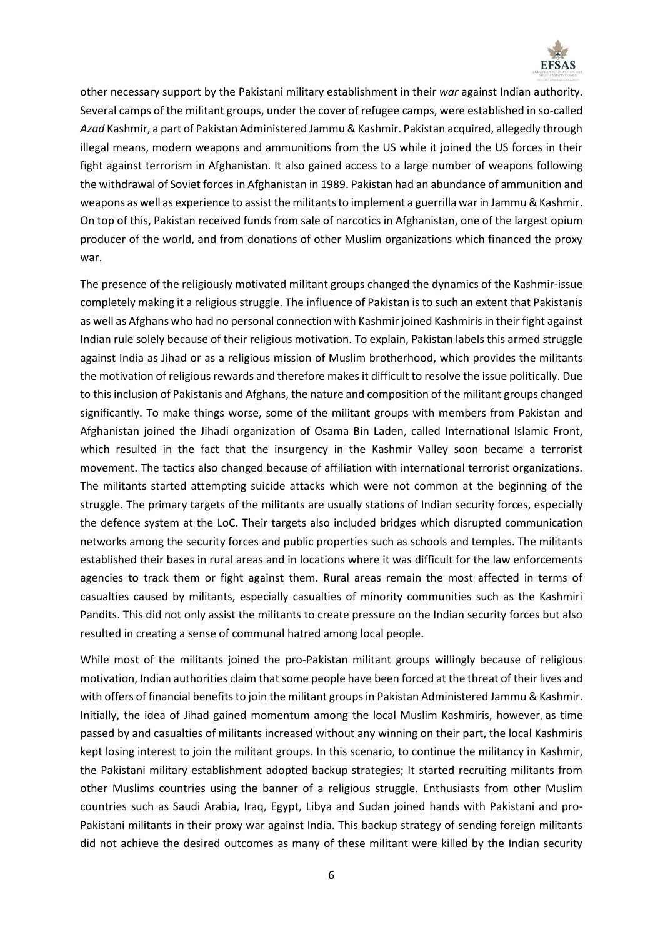

other necessary support by the Pakistani military establishment in their *war* against Indian authority. Several camps of the militant groups, under the cover of refugee camps, were established in so-called *Azad* Kashmir, a part of Pakistan Administered Jammu & Kashmir. Pakistan acquired, allegedly through illegal means, modern weapons and ammunitions from the US while it joined the US forces in their fight against terrorism in Afghanistan. It also gained access to a large number of weapons following the withdrawal of Soviet forces in Afghanistan in 1989. Pakistan had an abundance of ammunition and weapons as well as experience to assist the militants to implement a guerrilla war in Jammu & Kashmir. On top of this, Pakistan received funds from sale of narcotics in Afghanistan, one of the largest opium producer of the world, and from donations of other Muslim organizations which financed the proxy war.

The presence of the religiously motivated militant groups changed the dynamics of the Kashmir-issue completely making it a religious struggle. The influence of Pakistan is to such an extent that Pakistanis as well as Afghans who had no personal connection with Kashmir joined Kashmirisin their fight against Indian rule solely because of their religious motivation. To explain, Pakistan labels this armed struggle against India as Jihad or as a religious mission of Muslim brotherhood, which provides the militants the motivation of religious rewards and therefore makes it difficult to resolve the issue politically. Due to this inclusion of Pakistanis and Afghans, the nature and composition of the militant groups changed significantly. To make things worse, some of the militant groups with members from Pakistan and Afghanistan joined the Jihadi organization of Osama Bin Laden, called International Islamic Front, which resulted in the fact that the insurgency in the Kashmir Valley soon became a terrorist movement. The tactics also changed because of affiliation with international terrorist organizations. The militants started attempting suicide attacks which were not common at the beginning of the struggle. The primary targets of the militants are usually stations of Indian security forces, especially the defence system at the LoC. Their targets also included bridges which disrupted communication networks among the security forces and public properties such as schools and temples. The militants established their bases in rural areas and in locations where it was difficult for the law enforcements agencies to track them or fight against them. Rural areas remain the most affected in terms of casualties caused by militants, especially casualties of minority communities such as the Kashmiri Pandits. This did not only assist the militants to create pressure on the Indian security forces but also resulted in creating a sense of communal hatred among local people.

While most of the militants joined the pro-Pakistan militant groups willingly because of religious motivation, Indian authorities claim that some people have been forced at the threat of their lives and with offers of financial benefits to join the militant groups in Pakistan Administered Jammu & Kashmir. Initially, the idea of Jihad gained momentum among the local Muslim Kashmiris, however, as time passed by and casualties of militants increased without any winning on their part, the local Kashmiris kept losing interest to join the militant groups. In this scenario, to continue the militancy in Kashmir, the Pakistani military establishment adopted backup strategies; It started recruiting militants from other Muslims countries using the banner of a religious struggle. Enthusiasts from other Muslim countries such as Saudi Arabia, Iraq, Egypt, Libya and Sudan joined hands with Pakistani and pro-Pakistani militants in their proxy war against India. This backup strategy of sending foreign militants did not achieve the desired outcomes as many of these militant were killed by the Indian security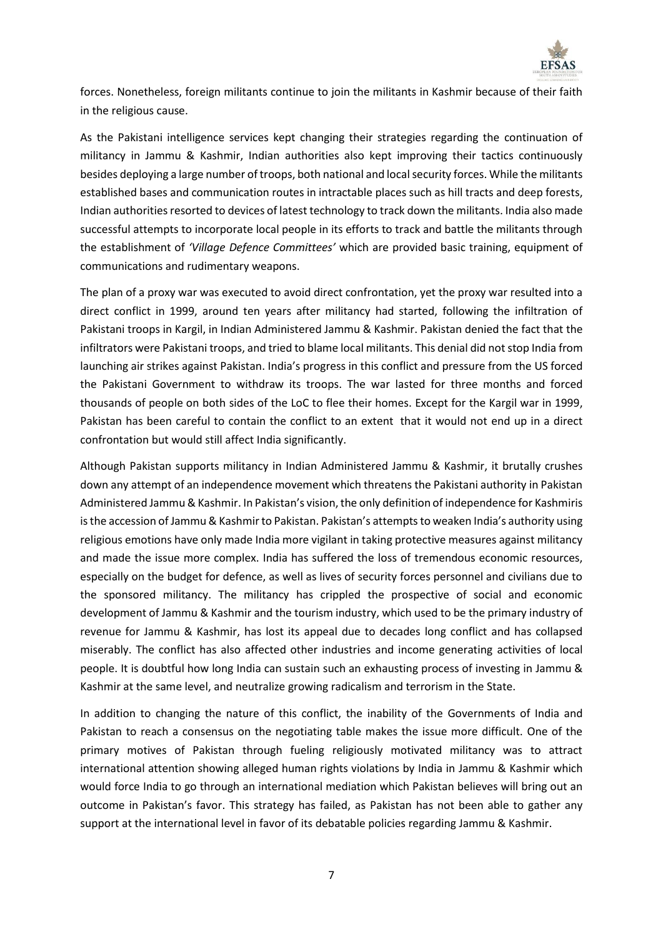

forces. Nonetheless, foreign militants continue to join the militants in Kashmir because of their faith in the religious cause.

As the Pakistani intelligence services kept changing their strategies regarding the continuation of militancy in Jammu & Kashmir, Indian authorities also kept improving their tactics continuously besides deploying a large number of troops, both national and local security forces. While the militants established bases and communication routes in intractable places such as hill tracts and deep forests, Indian authorities resorted to devices of latest technology to track down the militants. India also made successful attempts to incorporate local people in its efforts to track and battle the militants through the establishment of *'Village Defence Committees'* which are provided basic training, equipment of communications and rudimentary weapons.

The plan of a proxy war was executed to avoid direct confrontation, yet the proxy war resulted into a direct conflict in 1999, around ten years after militancy had started, following the infiltration of Pakistani troops in Kargil, in Indian Administered Jammu & Kashmir. Pakistan denied the fact that the infiltrators were Pakistani troops, and tried to blame local militants. This denial did not stop India from launching air strikes against Pakistan. India's progress in this conflict and pressure from the US forced the Pakistani Government to withdraw its troops. The war lasted for three months and forced thousands of people on both sides of the LoC to flee their homes. Except for the Kargil war in 1999, Pakistan has been careful to contain the conflict to an extent that it would not end up in a direct confrontation but would still affect India significantly.

Although Pakistan supports militancy in Indian Administered Jammu & Kashmir, it brutally crushes down any attempt of an independence movement which threatens the Pakistani authority in Pakistan Administered Jammu & Kashmir. In Pakistan's vision, the only definition of independence for Kashmiris is the accession of Jammu & Kashmir to Pakistan. Pakistan's attempts to weaken India's authority using religious emotions have only made India more vigilant in taking protective measures against militancy and made the issue more complex. India has suffered the loss of tremendous economic resources, especially on the budget for defence, as well as lives of security forces personnel and civilians due to the sponsored militancy. The militancy has crippled the prospective of social and economic development of Jammu & Kashmir and the tourism industry, which used to be the primary industry of revenue for Jammu & Kashmir, has lost its appeal due to decades long conflict and has collapsed miserably. The conflict has also affected other industries and income generating activities of local people. It is doubtful how long India can sustain such an exhausting process of investing in Jammu & Kashmir at the same level, and neutralize growing radicalism and terrorism in the State.

In addition to changing the nature of this conflict, the inability of the Governments of India and Pakistan to reach a consensus on the negotiating table makes the issue more difficult. One of the primary motives of Pakistan through fueling religiously motivated militancy was to attract international attention showing alleged human rights violations by India in Jammu & Kashmir which would force India to go through an international mediation which Pakistan believes will bring out an outcome in Pakistan's favor. This strategy has failed, as Pakistan has not been able to gather any support at the international level in favor of its debatable policies regarding Jammu & Kashmir.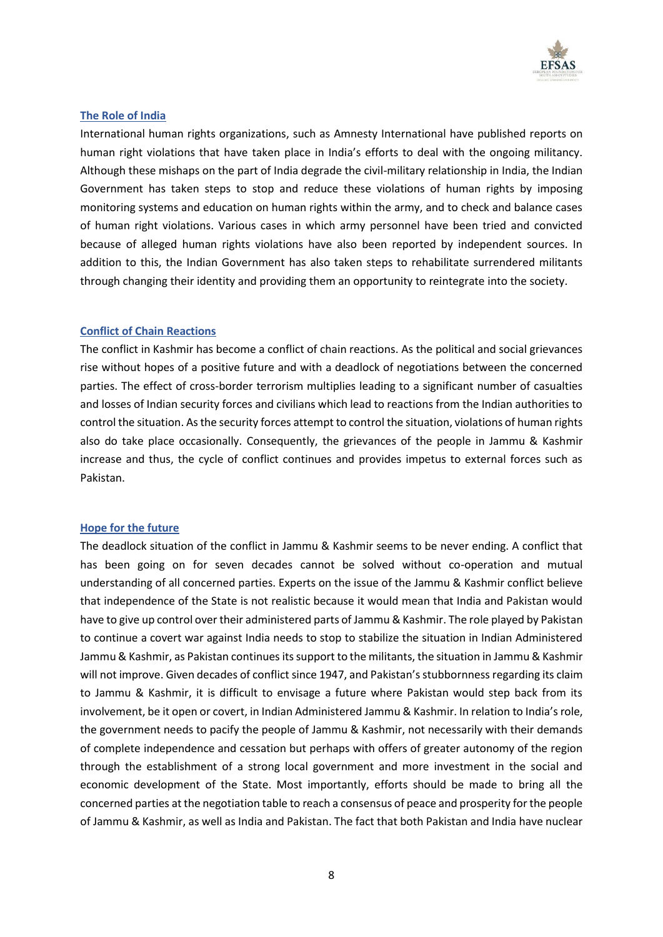

## **The Role of India**

International human rights organizations, such as Amnesty International have published reports on human right violations that have taken place in India's efforts to deal with the ongoing militancy. Although these mishaps on the part of India degrade the civil-military relationship in India, the Indian Government has taken steps to stop and reduce these violations of human rights by imposing monitoring systems and education on human rights within the army, and to check and balance cases of human right violations. Various cases in which army personnel have been tried and convicted because of alleged human rights violations have also been reported by independent sources. In addition to this, the Indian Government has also taken steps to rehabilitate surrendered militants through changing their identity and providing them an opportunity to reintegrate into the society.

## **Conflict of Chain Reactions**

The conflict in Kashmir has become a conflict of chain reactions. As the political and social grievances rise without hopes of a positive future and with a deadlock of negotiations between the concerned parties. The effect of cross-border terrorism multiplies leading to a significant number of casualties and losses of Indian security forces and civilians which lead to reactions from the Indian authorities to control the situation. As the security forces attempt to control the situation, violations of human rights also do take place occasionally. Consequently, the grievances of the people in Jammu & Kashmir increase and thus, the cycle of conflict continues and provides impetus to external forces such as Pakistan.

## **Hope for the future**

The deadlock situation of the conflict in Jammu & Kashmir seems to be never ending. A conflict that has been going on for seven decades cannot be solved without co-operation and mutual understanding of all concerned parties. Experts on the issue of the Jammu & Kashmir conflict believe that independence of the State is not realistic because it would mean that India and Pakistan would have to give up control over their administered parts of Jammu & Kashmir. The role played by Pakistan to continue a covert war against India needs to stop to stabilize the situation in Indian Administered Jammu & Kashmir, as Pakistan continues its support to the militants, the situation in Jammu & Kashmir will not improve. Given decades of conflict since 1947, and Pakistan's stubbornness regarding its claim to Jammu & Kashmir, it is difficult to envisage a future where Pakistan would step back from its involvement, be it open or covert, in Indian Administered Jammu & Kashmir. In relation to India's role, the government needs to pacify the people of Jammu & Kashmir, not necessarily with their demands of complete independence and cessation but perhaps with offers of greater autonomy of the region through the establishment of a strong local government and more investment in the social and economic development of the State. Most importantly, efforts should be made to bring all the concerned parties at the negotiation table to reach a consensus of peace and prosperity for the people of Jammu & Kashmir, as well as India and Pakistan. The fact that both Pakistan and India have nuclear